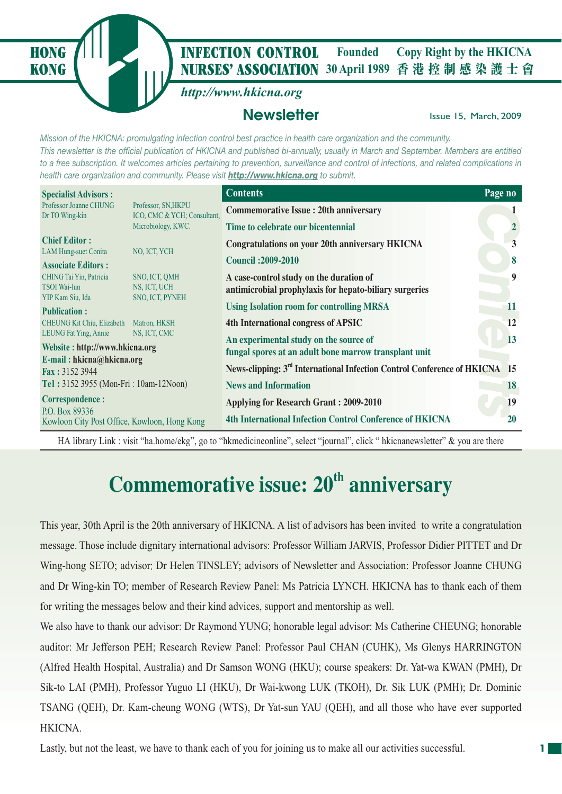**NURSES' ASSOCIATION** 30 April 1989 香港控制感染護士會 **HONG** *I* **INFECTION CONTROL** Founded Copy Right by the HKICNA **Founded**

*http://www.hkicna.org*

**KONG**

## **Newsletter Issue 15, March, 2009**

*Mission of the HKICNA: promulgating infection control best practice in health care organization and the community. This newsletter is the official publication of HKICNA and published bi-annually, usually in March and September. Members are entitled to a free subscription. It welcomes articles pertaining to prevention, surveillance and control of infections, and related complications in health care organization and community. Please visit http://www.hkicna.org to submit.*

| <b>Specialist Advisors:</b>                                                   |                                                    | <b>Contents</b>                                                                                   | Page no  |
|-------------------------------------------------------------------------------|----------------------------------------------------|---------------------------------------------------------------------------------------------------|----------|
| Professor Joanne CHUNG<br>Dr TO Wing-kin                                      | Professor, SN, HKPU<br>ICO, CMC & YCH; Consultant, | <b>Commemorative Issue: 20th anniversary</b>                                                      |          |
|                                                                               | Microbiology, KWC.                                 | Time to celebrate our bicentennial                                                                |          |
| <b>Chief Editor:</b>                                                          |                                                    | <b>Congratulations on your 20th anniversary HKICNA</b>                                            | 3        |
| <b>LAM Hung-suet Conita</b><br><b>Associate Editors:</b>                      | NO, ICT, YCH                                       | <b>Council: 2009-2010</b>                                                                         | 8        |
| CHING Tai Yin, Patricia<br><b>TSOI</b> Wai-lun                                | SNO, ICT, QMH<br>NS, ICT, UCH                      | A case-control study on the duration of<br>antimicrobial prophylaxis for hepato-biliary surgeries | 9        |
| YIP Kam Siu, Ida<br><b>Publication:</b>                                       | SNO, ICT, PYNEH                                    | <b>Using Isolation room for controlling MRSA</b>                                                  | 11       |
| CHEUNG Kit Chiu, Elizabeth<br>LEUNG Fat Ying, Annie                           | Matron, HKSH<br>NS, ICT, CMC                       | 4th International congress of APSIC                                                               | 12<br>13 |
| Website: http://www.hkicna.org<br>E-mail: hkicna@hkicna.org<br>Fax: 3152 3944 |                                                    | An experimental study on the source of<br>fungal spores at an adult bone marrow transplant unit   |          |
|                                                                               |                                                    | News-clipping: 3 <sup>rd</sup> International Infection Control Conference of HKICNA 15            |          |
| Tel: 3152 3955 (Mon-Fri: 10am-12Noon)                                         |                                                    | <b>News and Information</b>                                                                       | 18       |
| <b>Correspondence:</b>                                                        |                                                    | <b>Applying for Research Grant : 2009-2010</b>                                                    | 19       |
| P.O. Box 89336<br>Kowloon City Post Office, Kowloon, Hong Kong                |                                                    | <b>4th International Infection Control Conference of HKICNA</b>                                   | 20       |

HA library Link : visit "ha.home/ekg", go to "hkmedicineonline", select "journal", click " hkicnanewsletter" & you are there

# **Commemorative issue: 20<sup>th</sup> anniversary**

This year, 30th April is the 20th anniversary of HKICNA. A list of advisors has been invited to write a congratulation message. Those include dignitary international advisors: Professor William JARVIS, Professor Didier PITTET and Dr Wing-hong SETO; advisor: Dr Helen TINSLEY; advisors of Newsletter and Association: Professor Joanne CHUNG and Dr Wing-kin TO; member of Research Review Panel: Ms Patricia LYNCH. HKICNA has to thank each of them for writing the messages below and their kind advices, support and mentorship as well.

We also have to thank our advisor: Dr Raymond YUNG; honorable legal advisor: Ms Catherine CHEUNG; honorable auditor: Mr Jefferson PEH; Research Review Panel: Professor Paul CHAN (CUHK), Ms Glenys HARRINGTON (Alfred Health Hospital, Australia) and Dr Samson WONG (HKU); course speakers: Dr. Yat-wa KWAN (PMH), Dr Sik-to LAI (PMH), Professor Yuguo LI (HKU), Dr Wai-kwong LUK (TKOH), Dr. Sik LUK (PMH); Dr. Dominic TSANG (QEH), Dr. Kam-cheung WONG (WTS), Dr Yat-sun YAU (QEH), and all those who have ever supported HKICNA.

Lastly, but not the least, we have to thank each of you for joining us to make all our activities successful.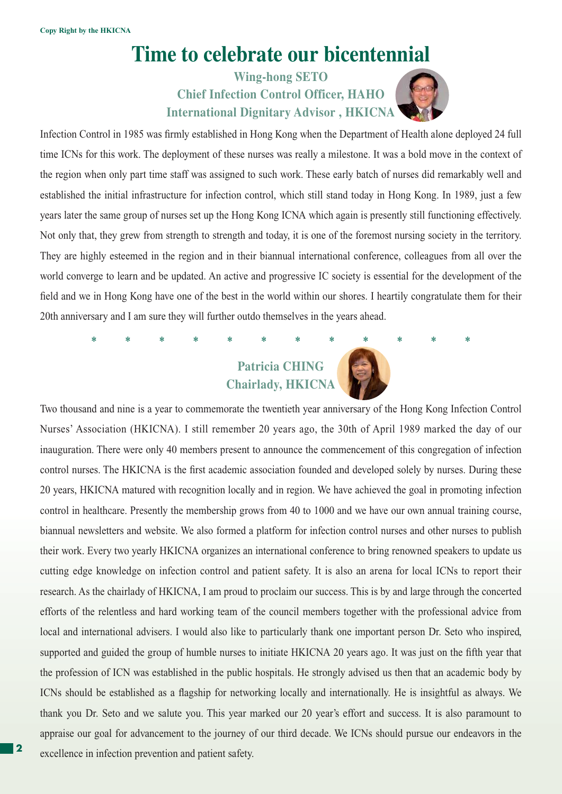## **Time to celebrate our bicentennial**

**Wing-hong SETO Chief Infection Control Officer, HAHO International Dignitary Advisor , HKICNA**



Infection Control in 1985 was firmly established in Hong Kong when the Department of Health alone deployed 24 full time ICNs for this work. The deployment of these nurses was really a milestone. It was a bold move in the context of the region when only part time staff was assigned to such work. These early batch of nurses did remarkably well and established the initial infrastructure for infection control, which still stand today in Hong Kong. In 1989, just a few years later the same group of nurses set up the Hong Kong ICNA which again is presently still functioning effectively. Not only that, they grew from strength to strength and today, it is one of the foremost nursing society in the territory. They are highly esteemed in the region and in their biannual international conference, colleagues from all over the world converge to learn and be updated. An active and progressive IC society is essential for the development of the field and we in Hong Kong have one of the best in the world within our shores. I heartily congratulate them for their 20th anniversary and I am sure they will further outdo themselves in the years ahead.

## **Patricia CHING Chairlady, HKICNA**

\* \* \* \* \* \* \* \* \* \* \* \*

Two thousand and nine is a year to commemorate the twentieth year anniversary of the Hong Kong Infection Control Nurses' Association (HKICNA). I still remember 20 years ago, the 30th of April 1989 marked the day of our inauguration. There were only 40 members present to announce the commencement of this congregation of infection control nurses. The HKICNA is the first academic association founded and developed solely by nurses. During these 20 years, HKICNA matured with recognition locally and in region. We have achieved the goal in promoting infection control in healthcare. Presently the membership grows from 40 to 1000 and we have our own annual training course, biannual newsletters and website. We also formed a platform for infection control nurses and other nurses to publish their work. Every two yearly HKICNA organizes an international conference to bring renowned speakers to update us cutting edge knowledge on infection control and patient safety. It is also an arena for local ICNs to report their research. As the chairlady of HKICNA, I am proud to proclaim our success. This is by and large through the concerted efforts of the relentless and hard working team of the council members together with the professional advice from local and international advisers. I would also like to particularly thank one important person Dr. Seto who inspired, supported and guided the group of humble nurses to initiate HKICNA 20 years ago. It was just on the fifth year that the profession of ICN was established in the public hospitals. He strongly advised us then that an academic body by ICNs should be established as a flagship for networking locally and internationally. He is insightful as always. We thank you Dr. Seto and we salute you. This year marked our 20 year's effort and success. It is also paramount to appraise our goal for advancement to the journey of our third decade. We ICNs should pursue our endeavors in the excellence in infection prevention and patient safety.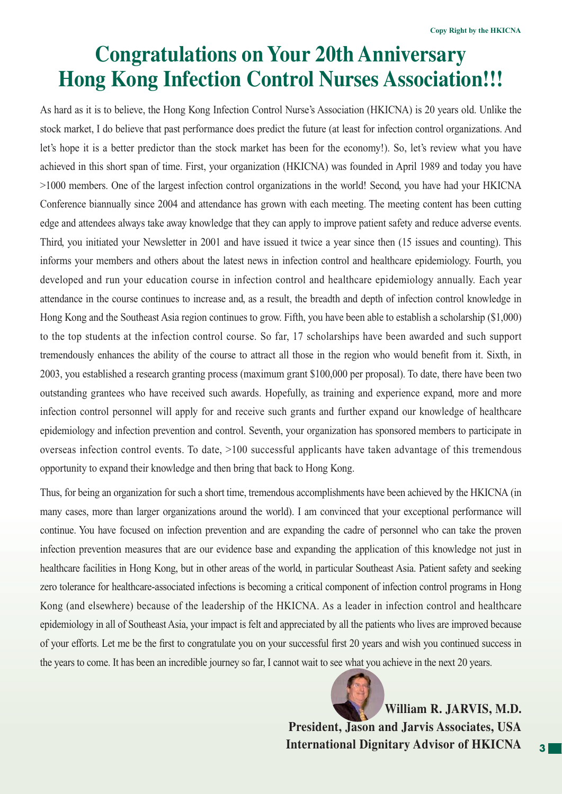# **Congratulations on Your 20th Anniversary Hong Kong Infection Control Nurses Association!!!**

As hard as it is to believe, the Hong Kong Infection Control Nurse's Association (HKICNA) is 20 years old. Unlike the stock market, I do believe that past performance does predict the future (at least for infection control organizations. And let's hope it is a better predictor than the stock market has been for the economy!). So, let's review what you have achieved in this short span of time. First, your organization (HKICNA) was founded in April 1989 and today you have >1000 members. One of the largest infection control organizations in the world! Second, you have had your HKICNA Conference biannually since 2004 and attendance has grown with each meeting. The meeting content has been cutting edge and attendees always take away knowledge that they can apply to improve patient safety and reduce adverse events. Third, you initiated your Newsletter in 2001 and have issued it twice a year since then (15 issues and counting). This informs your members and others about the latest news in infection control and healthcare epidemiology. Fourth, you developed and run your education course in infection control and healthcare epidemiology annually. Each year attendance in the course continues to increase and, as a result, the breadth and depth of infection control knowledge in Hong Kong and the Southeast Asia region continues to grow. Fifth, you have been able to establish a scholarship (\$1,000) to the top students at the infection control course. So far, 17 scholarships have been awarded and such support tremendously enhances the ability of the course to attract all those in the region who would benefit from it. Sixth, in 2003, you established a research granting process (maximum grant \$100,000 per proposal). To date, there have been two outstanding grantees who have received such awards. Hopefully, as training and experience expand, more and more infection control personnel will apply for and receive such grants and further expand our knowledge of healthcare epidemiology and infection prevention and control. Seventh, your organization has sponsored members to participate in overseas infection control events. To date, >100 successful applicants have taken advantage of this tremendous opportunity to expand their knowledge and then bring that back to Hong Kong.

Thus, for being an organization for such a short time, tremendous accomplishments have been achieved by the HKICNA (in many cases, more than larger organizations around the world). I am convinced that your exceptional performance will continue. You have focused on infection prevention and are expanding the cadre of personnel who can take the proven infection prevention measures that are our evidence base and expanding the application of this knowledge not just in healthcare facilities in Hong Kong, but in other areas of the world, in particular Southeast Asia. Patient safety and seeking zero tolerance for healthcare-associated infections is becoming a critical component of infection control programs in Hong Kong (and elsewhere) because of the leadership of the HKICNA. As a leader in infection control and healthcare epidemiology in all of Southeast Asia, your impact is felt and appreciated by all the patients who lives are improved because of your efforts. Let me be the first to congratulate you on your successful first 20 years and wish you continued success in the years to come. It has been an incredible journey so far, I cannot wait to see what you achieve in the next 20 years.

> **William R. JARVIS, M.D. President, Jason and Jarvis Associates, USA International Dignitary Advisor of HKICNA**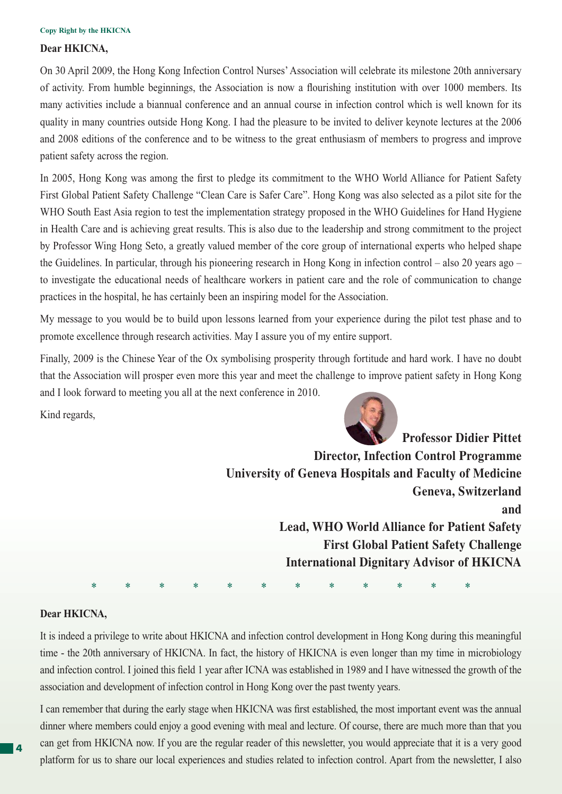### **Dear HKICNA,**

On 30 April 2009, the Hong Kong Infection Control Nurses' Association will celebrate its milestone 20th anniversary of activity. From humble beginnings, the Association is now a flourishing institution with over 1000 members. Its many activities include a biannual conference and an annual course in infection control which is well known for its quality in many countries outside Hong Kong. I had the pleasure to be invited to deliver keynote lectures at the 2006 and 2008 editions of the conference and to be witness to the great enthusiasm of members to progress and improve patient safety across the region.

In 2005, Hong Kong was among the first to pledge its commitment to the WHO World Alliance for Patient Safety First Global Patient Safety Challenge "Clean Care is Safer Care". Hong Kong was also selected as a pilot site for the WHO South East Asia region to test the implementation strategy proposed in the WHO Guidelines for Hand Hygiene in Health Care and is achieving great results. This is also due to the leadership and strong commitment to the project by Professor Wing Hong Seto, a greatly valued member of the core group of international experts who helped shape the Guidelines. In particular, through his pioneering research in Hong Kong in infection control – also 20 years ago – to investigate the educational needs of healthcare workers in patient care and the role of communication to change practices in the hospital, he has certainly been an inspiring model for the Association.

My message to you would be to build upon lessons learned from your experience during the pilot test phase and to promote excellence through research activities. May I assure you of my entire support.

Finally, 2009 is the Chinese Year of the Ox symbolising prosperity through fortitude and hard work. I have no doubt that the Association will prosper even more this year and meet the challenge to improve patient safety in Hong Kong and I look forward to meeting you all at the next conference in 2010.

Kind regards,



**Professor Didier Pittet Director, Infection Control Programme University of Geneva Hospitals and Faculty of Medicine Geneva, Switzerland and Lead, WHO World Alliance for Patient Safety First Global Patient Safety Challenge International Dignitary Advisor of HKICNA**

### **Dear HKICNA,**

It is indeed a privilege to write about HKICNA and infection control development in Hong Kong during this meaningful time - the 20th anniversary of HKICNA. In fact, the history of HKICNA is even longer than my time in microbiology and infection control. I joined this field 1 year after ICNA was established in 1989 and I have witnessed the growth of the association and development of infection control in Hong Kong over the past twenty years.

\* \* \* \* \* \* \* \* \* \* \* \*

I can remember that during the early stage when HKICNA was first established, the most important event was the annual dinner where members could enjoy a good evening with meal and lecture. Of course, there are much more than that you can get from HKICNA now. If you are the regular reader of this newsletter, you would appreciate that it is a very good platform for us to share our local experiences and studies related to infection control. Apart from the newsletter, I also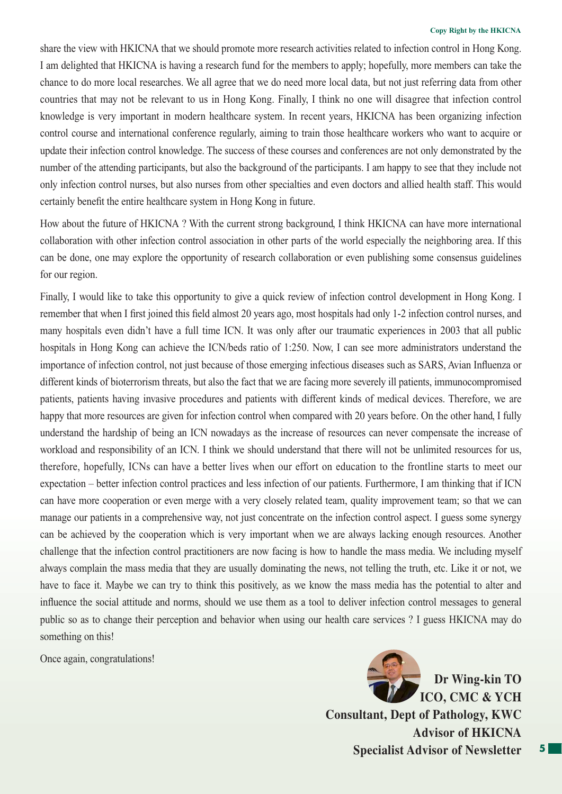share the view with HKICNA that we should promote more research activities related to infection control in Hong Kong. I am delighted that HKICNA is having a research fund for the members to apply; hopefully, more members can take the chance to do more local researches. We all agree that we do need more local data, but not just referring data from other countries that may not be relevant to us in Hong Kong. Finally, I think no one will disagree that infection control knowledge is very important in modern healthcare system. In recent years, HKICNA has been organizing infection control course and international conference regularly, aiming to train those healthcare workers who want to acquire or update their infection control knowledge. The success of these courses and conferences are not only demonstrated by the number of the attending participants, but also the background of the participants. I am happy to see that they include not only infection control nurses, but also nurses from other specialties and even doctors and allied health staff. This would certainly benefit the entire healthcare system in Hong Kong in future.

How about the future of HKICNA ? With the current strong background, I think HKICNA can have more international collaboration with other infection control association in other parts of the world especially the neighboring area. If this can be done, one may explore the opportunity of research collaboration or even publishing some consensus guidelines for our region.

Finally, I would like to take this opportunity to give a quick review of infection control development in Hong Kong. I remember that when I first joined this field almost 20 years ago, most hospitals had only 1-2 infection control nurses, and many hospitals even didn't have a full time ICN. It was only after our traumatic experiences in 2003 that all public hospitals in Hong Kong can achieve the ICN/beds ratio of 1:250. Now, I can see more administrators understand the importance of infection control, not just because of those emerging infectious diseases such as SARS, Avian Influenza or different kinds of bioterrorism threats, but also the fact that we are facing more severely ill patients, immunocompromised patients, patients having invasive procedures and patients with different kinds of medical devices. Therefore, we are happy that more resources are given for infection control when compared with 20 years before. On the other hand, I fully understand the hardship of being an ICN nowadays as the increase of resources can never compensate the increase of workload and responsibility of an ICN. I think we should understand that there will not be unlimited resources for us, therefore, hopefully, ICNs can have a better lives when our effort on education to the frontline starts to meet our expectation – better infection control practices and less infection of our patients. Furthermore, I am thinking that if ICN can have more cooperation or even merge with a very closely related team, quality improvement team; so that we can manage our patients in a comprehensive way, not just concentrate on the infection control aspect. I guess some synergy can be achieved by the cooperation which is very important when we are always lacking enough resources. Another challenge that the infection control practitioners are now facing is how to handle the mass media. We including myself always complain the mass media that they are usually dominating the news, not telling the truth, etc. Like it or not, we have to face it. Maybe we can try to think this positively, as we know the mass media has the potential to alter and influence the social attitude and norms, should we use them as a tool to deliver infection control messages to general public so as to change their perception and behavior when using our health care services ? I guess HKICNA may do something on this!

Once again, congratulations!

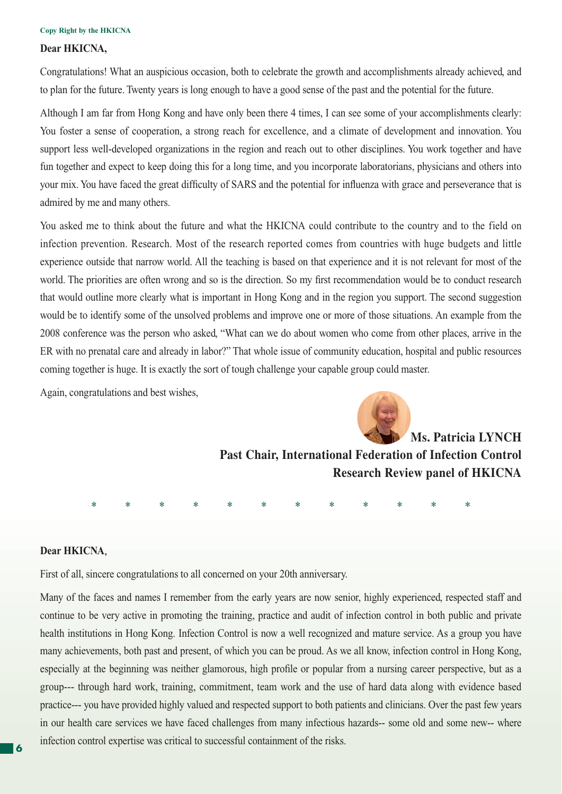### **Dear HKICNA,**

Congratulations! What an auspicious occasion, both to celebrate the growth and accomplishments already achieved, and to plan for the future. Twenty years is long enough to have a good sense of the past and the potential for the future.

Although I am far from Hong Kong and have only been there 4 times, I can see some of your accomplishments clearly: You foster a sense of cooperation, a strong reach for excellence, and a climate of development and innovation. You support less well-developed organizations in the region and reach out to other disciplines. You work together and have fun together and expect to keep doing this for a long time, and you incorporate laboratorians, physicians and others into your mix. You have faced the great difficulty of SARS and the potential for influenza with grace and perseverance that is admired by me and many others.

You asked me to think about the future and what the HKICNA could contribute to the country and to the field on infection prevention. Research. Most of the research reported comes from countries with huge budgets and little experience outside that narrow world. All the teaching is based on that experience and it is not relevant for most of the world. The priorities are often wrong and so is the direction. So my first recommendation would be to conduct research that would outline more clearly what is important in Hong Kong and in the region you support. The second suggestion would be to identify some of the unsolved problems and improve one or more of those situations. An example from the 2008 conference was the person who asked, "What can we do about women who come from other places, arrive in the ER with no prenatal care and already in labor?" That whole issue of community education, hospital and public resources coming together is huge. It is exactly the sort of tough challenge your capable group could master.

Again, congratulations and best wishes,



**Past Chair, International Federation of Infection Control Research Review panel of HKICNA**

\* \* \* \* \* \* \* \* \* \* \* \*

### **Dear HKICNA**,

First of all, sincere congratulations to all concerned on your 20th anniversary.

Many of the faces and names I remember from the early years are now senior, highly experienced, respected staff and continue to be very active in promoting the training, practice and audit of infection control in both public and private health institutions in Hong Kong. Infection Control is now a well recognized and mature service. As a group you have many achievements, both past and present, of which you can be proud. As we all know, infection control in Hong Kong, especially at the beginning was neither glamorous, high profile or popular from a nursing career perspective, but as a group--- through hard work, training, commitment, team work and the use of hard data along with evidence based practice--- you have provided highly valued and respected support to both patients and clinicians. Over the past few years in our health care services we have faced challenges from many infectious hazards-- some old and some new-- where infection control expertise was critical to successful containment of the risks. **<sup>6</sup>**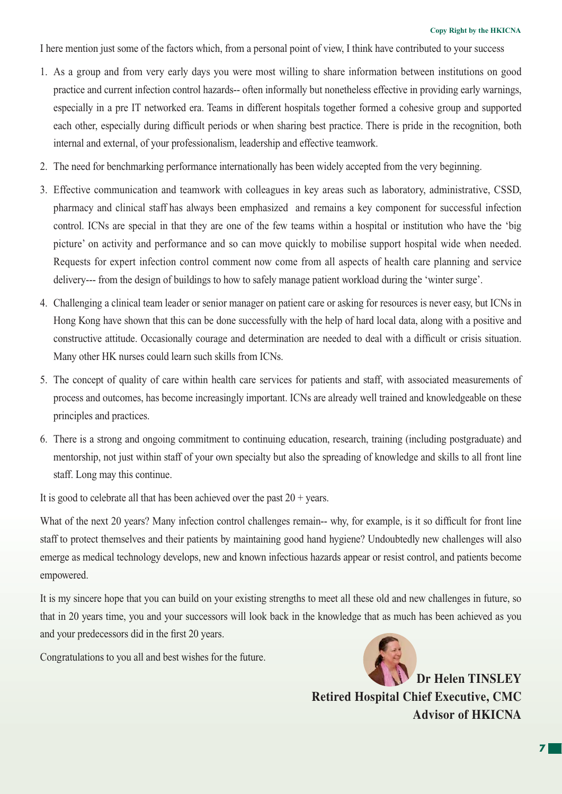I here mention just some of the factors which, from a personal point of view, I think have contributed to your success

- 1. As a group and from very early days you were most willing to share information between institutions on good practice and current infection control hazards-- often informally but nonetheless effective in providing early warnings, especially in a pre IT networked era. Teams in different hospitals together formed a cohesive group and supported each other, especially during difficult periods or when sharing best practice. There is pride in the recognition, both internal and external, of your professionalism, leadership and effective teamwork.
- 2. The need for benchmarking performance internationally has been widely accepted from the very beginning.
- 3. Effective communication and teamwork with colleagues in key areas such as laboratory, administrative, CSSD, pharmacy and clinical staff has always been emphasized and remains a key component for successful infection control. ICNs are special in that they are one of the few teams within a hospital or institution who have the 'big picture' on activity and performance and so can move quickly to mobilise support hospital wide when needed. Requests for expert infection control comment now come from all aspects of health care planning and service delivery--- from the design of buildings to how to safely manage patient workload during the 'winter surge'.
- 4. Challenging a clinical team leader or senior manager on patient care or asking for resources is never easy, but ICNs in Hong Kong have shown that this can be done successfully with the help of hard local data, along with a positive and constructive attitude. Occasionally courage and determination are needed to deal with a difficult or crisis situation. Many other HK nurses could learn such skills from ICNs.
- 5. The concept of quality of care within health care services for patients and staff, with associated measurements of process and outcomes, has become increasingly important. ICNs are already well trained and knowledgeable on these principles and practices.
- 6. There is a strong and ongoing commitment to continuing education, research, training (including postgraduate) and mentorship, not just within staff of your own specialty but also the spreading of knowledge and skills to all front line staff. Long may this continue.

It is good to celebrate all that has been achieved over the past  $20 + \text{years}$ .

What of the next 20 years? Many infection control challenges remain-- why, for example, is it so difficult for front line staff to protect themselves and their patients by maintaining good hand hygiene? Undoubtedly new challenges will also emerge as medical technology develops, new and known infectious hazards appear or resist control, and patients become empowered.

It is my sincere hope that you can build on your existing strengths to meet all these old and new challenges in future, so that in 20 years time, you and your successors will look back in the knowledge that as much has been achieved as you and your predecessors did in the first 20 years.

Congratulations to you all and best wishes for the future.



**Dr Helen TINSLEY Retired Hospital Chief Executive, CMC Advisor of HKICNA**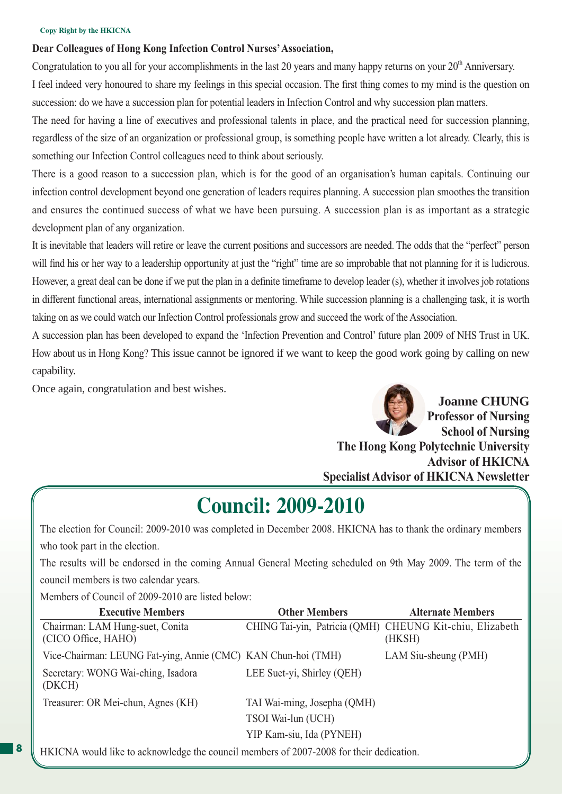### **Dear Colleagues of Hong Kong Infection Control Nurses' Association,**

Congratulation to you all for your accomplishments in the last 20 years and many happy returns on your 20<sup>th</sup> Anniversary. I feel indeed very honoured to share my feelings in this special occasion. The first thing comes to my mind is the question on succession: do we have a succession plan for potential leaders in Infection Control and why succession plan matters.

The need for having a line of executives and professional talents in place, and the practical need for succession planning, regardless of the size of an organization or professional group, is something people have written a lot already. Clearly, this is something our Infection Control colleagues need to think about seriously.

There is a good reason to a succession plan, which is for the good of an organisation's human capitals. Continuing our infection control development beyond one generation of leaders requires planning. A succession plan smoothes the transition and ensures the continued success of what we have been pursuing. A succession plan is as important as a strategic development plan of any organization.

It is inevitable that leaders will retire or leave the current positions and successors are needed. The odds that the "perfect" person will find his or her way to a leadership opportunity at just the "right" time are so improbable that not planning for it is ludicrous. However, a great deal can be done if we put the plan in a definite timeframe to develop leader (s), whether it involves job rotations in different functional areas, international assignments or mentoring. While succession planning is a challenging task, it is worth taking on as we could watch our Infection Control professionals grow and succeed the work of the Association.

A succession plan has been developed to expand the 'Infection Prevention and Control' future plan 2009 of NHS Trust in UK. How about us in Hong Kong? This issue cannot be ignored if we want to keep the good work going by calling on new capability.

Once again, congratulation and best wishes.



## **Council: 2009-2010**

The election for Council: 2009-2010 was completed in December 2008. HKICNA has to thank the ordinary members who took part in the election.

The results will be endorsed in the coming Annual General Meeting scheduled on 9th May 2009. The term of the council members is two calendar years.

Members of Council of 2009-2010 are listed below:

**8**

| <b>Executive Members</b>                                      | <b>Other Members</b>        | <b>Alternate Members</b>                                           |
|---------------------------------------------------------------|-----------------------------|--------------------------------------------------------------------|
| Chairman: LAM Hung-suet, Conita<br>(CICO Office, HAHO)        |                             | CHING Tai-yin, Patricia (QMH) CHEUNG Kit-chiu, Elizabeth<br>(HKSH) |
| Vice-Chairman: LEUNG Fat-ying, Annie (CMC) KAN Chun-hoi (TMH) |                             | LAM Siu-sheung (PMH)                                               |
| Secretary: WONG Wai-ching, Isadora<br>(DKCH)                  | LEE Suet-yi, Shirley (QEH)  |                                                                    |
| Treasurer: OR Mei-chun, Agnes (KH)                            | TAI Wai-ming, Josepha (QMH) |                                                                    |
|                                                               | TSOI Wai-lun (UCH)          |                                                                    |
|                                                               | YIP Kam-siu, Ida (PYNEH)    |                                                                    |

HKICNA would like to acknowledge the council members of 2007-2008 for their dedication.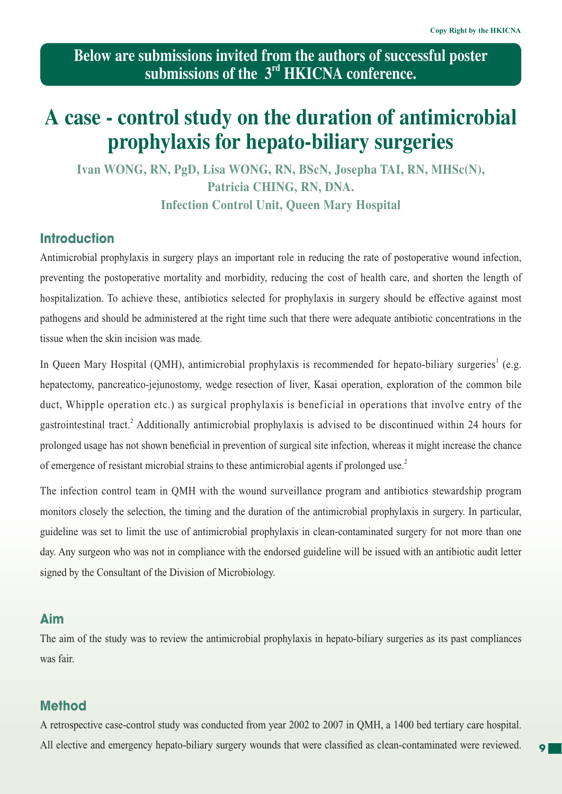**Below are submissions invited from the authors of successful poster submissions of the 3rd HKICNA conference.**

## **A case - control study on the duration of antimicrobial prophylaxis for hepato-biliary surgeries**

**Ivan WONG, RN, PgD, Lisa WONG, RN, BScN, Josepha TAI, RN, MHSc(N), Patricia CHING, RN, DNA. Infection Control Unit, Queen Mary Hospital**

## **Introduction**

Antimicrobial prophylaxis in surgery plays an important role in reducing the rate of postoperative wound infection, preventing the postoperative mortality and morbidity, reducing the cost of health care, and shorten the length of hospitalization. To achieve these, antibiotics selected for prophylaxis in surgery should be effective against most pathogens and should be administered at the right time such that there were adequate antibiotic concentrations in the tissue when the skin incision was made.

In Queen Mary Hospital (QMH), antimicrobial prophylaxis is recommended for hepato-biliary surgeries<sup>1</sup> (e.g. hepatectomy, pancreatico-jejunostomy, wedge resection of liver, Kasai operation, exploration of the common bile duct, Whipple operation etc.) as surgical prophylaxis is beneficial in operations that involve entry of the gastrointestinal tract.<sup>2</sup> Additionally antimicrobial prophylaxis is advised to be discontinued within 24 hours for prolonged usage has not shown beneficial in prevention of surgical site infection, whereas it might increase the chance of emergence of resistant microbial strains to these antimicrobial agents if prolonged use.2

The infection control team in QMH with the wound surveillance program and antibiotics stewardship program monitors closely the selection, the timing and the duration of the antimicrobial prophylaxis in surgery. In particular, guideline was set to limit the use of antimicrobial prophylaxis in clean-contaminated surgery for not more than one day. Any surgeon who was not in compliance with the endorsed guideline will be issued with an antibiotic audit letter signed by the Consultant of the Division of Microbiology.

## **Aim**

The aim of the study was to review the antimicrobial prophylaxis in hepato-biliary surgeries as its past compliances was fair.

## **Method**

A retrospective case-control study was conducted from year 2002 to 2007 in QMH, a 1400 bed tertiary care hospital. All elective and emergency hepato-biliary surgery wounds that were classified as clean-contaminated were reviewed.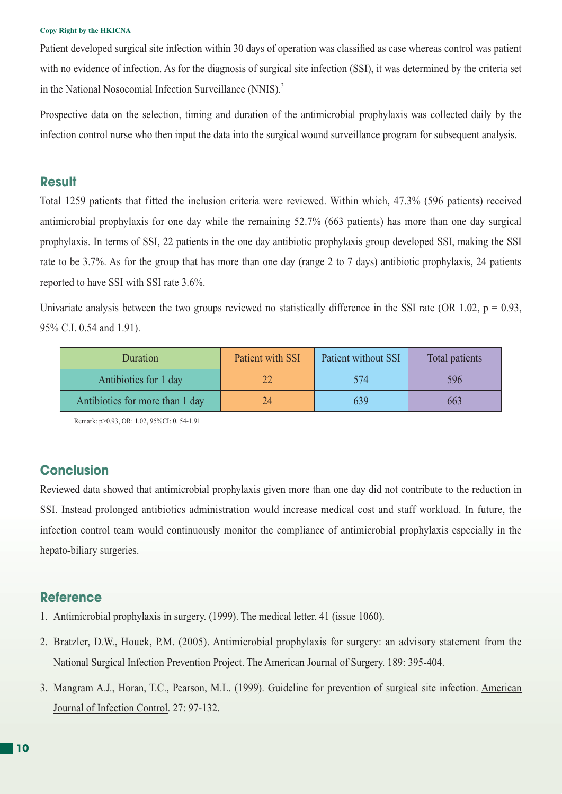Patient developed surgical site infection within 30 days of operation was classified as case whereas control was patient with no evidence of infection. As for the diagnosis of surgical site infection (SSI), it was determined by the criteria set in the National Nosocomial Infection Surveillance (NNIS).<sup>3</sup>

Prospective data on the selection, timing and duration of the antimicrobial prophylaxis was collected daily by the infection control nurse who then input the data into the surgical wound surveillance program for subsequent analysis.

## **Result**

Total 1259 patients that fitted the inclusion criteria were reviewed. Within which, 47.3% (596 patients) received antimicrobial prophylaxis for one day while the remaining 52.7% (663 patients) has more than one day surgical prophylaxis. In terms of SSI, 22 patients in the one day antibiotic prophylaxis group developed SSI, making the SSI rate to be 3.7%. As for the group that has more than one day (range 2 to 7 days) antibiotic prophylaxis, 24 patients reported to have SSI with SSI rate 3.6%.

Univariate analysis between the two groups reviewed no statistically difference in the SSI rate (OR 1.02,  $p = 0.93$ , 95% C.I. 0.54 and 1.91).

| Duration                        | Patient with SSI | Patient without SSI | Total patients |
|---------------------------------|------------------|---------------------|----------------|
| Antibiotics for 1 day           |                  | 574                 | 596            |
| Antibiotics for more than 1 day | 24               |                     | 663            |

Remark: p>0.93, OR: 1.02, 95%CI: 0. 54-1.91

## **Conclusion**

Reviewed data showed that antimicrobial prophylaxis given more than one day did not contribute to the reduction in SSI. Instead prolonged antibiotics administration would increase medical cost and staff workload. In future, the infection control team would continuously monitor the compliance of antimicrobial prophylaxis especially in the hepato-biliary surgeries.

### **Reference**

- 1. Antimicrobial prophylaxis in surgery. (1999). The medical letter. 41 (issue 1060).
- 2. Bratzler, D.W., Houck, P.M. (2005). Antimicrobial prophylaxis for surgery: an advisory statement from the National Surgical Infection Prevention Project. The American Journal of Surgery. 189: 395-404.
- 3. Mangram A.J., Horan, T.C., Pearson, M.L. (1999). Guideline for prevention of surgical site infection. American Journal of Infection Control. 27: 97-132.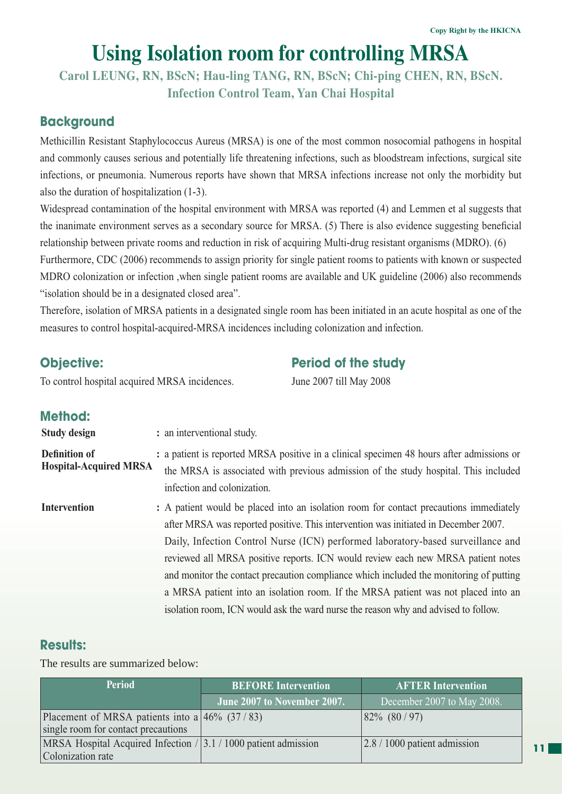# **Using Isolation room for controlling MRSA**

**Carol LEUNG, RN, BScN; Hau-ling TANG, RN, BScN; Chi-ping CHEN, RN, BScN. Infection Control Team, Yan Chai Hospital**

## **Background**

Methicillin Resistant Staphylococcus Aureus (MRSA) is one of the most common nosocomial pathogens in hospital and commonly causes serious and potentially life threatening infections, such as bloodstream infections, surgical site infections, or pneumonia. Numerous reports have shown that MRSA infections increase not only the morbidity but also the duration of hospitalization (1-3).

Widespread contamination of the hospital environment with MRSA was reported (4) and Lemmen et al suggests that the inanimate environment serves as a secondary source for MRSA. (5) There is also evidence suggesting beneficial relationship between private rooms and reduction in risk of acquiring Multi-drug resistant organisms (MDRO). (6)

Furthermore, CDC (2006) recommends to assign priority for single patient rooms to patients with known or suspected MDRO colonization or infection ,when single patient rooms are available and UK guideline (2006) also recommends "isolation should be in a designated closed area".

Therefore, isolation of MRSA patients in a designated single room has been initiated in an acute hospital as one of the measures to control hospital-acquired-MRSA incidences including colonization and infection.

## **Objective:** Period of the study

To control hospital acquired MRSA incidences. June 2007 till May 2008

## **Method:**

**Study design :** an interventional study. **Definition of Hospital-Acquired MRSA :** a patient is reported MRSA positive in a clinical specimen 48 hours after admissions or the MRSA is associated with previous admission of the study hospital. This included infection and colonization. **Intervention :** A patient would be placed into an isolation room for contact precautions immediately after MRSA was reported positive. This intervention was initiated in December 2007. Daily, Infection Control Nurse (ICN) performed laboratory-based surveillance and reviewed all MRSA positive reports. ICN would review each new MRSA patient notes and monitor the contact precaution compliance which included the monitoring of putting a MRSA patient into an isolation room. If the MRSA patient was not placed into an isolation room, ICN would ask the ward nurse the reason why and advised to follow.

## **Results:**

The results are summarized below:

| <b>Period</b>                                                                            | <b>BEFORE Intervention</b>  | <b>AFTER Intervention</b>                     |  |
|------------------------------------------------------------------------------------------|-----------------------------|-----------------------------------------------|--|
|                                                                                          | June 2007 to November 2007. | December 2007 to May 2008.                    |  |
| Placement of MRSA patients into a $46\%$ (37/83)<br>single room for contact precautions  |                             | $82\%$ $(80/97)$                              |  |
| MRSA Hospital Acquired Infection $/$ 3.1 $/$ 1000 patient admission<br>Colonization rate |                             | $\left  2.8 / 1000 \right $ patient admission |  |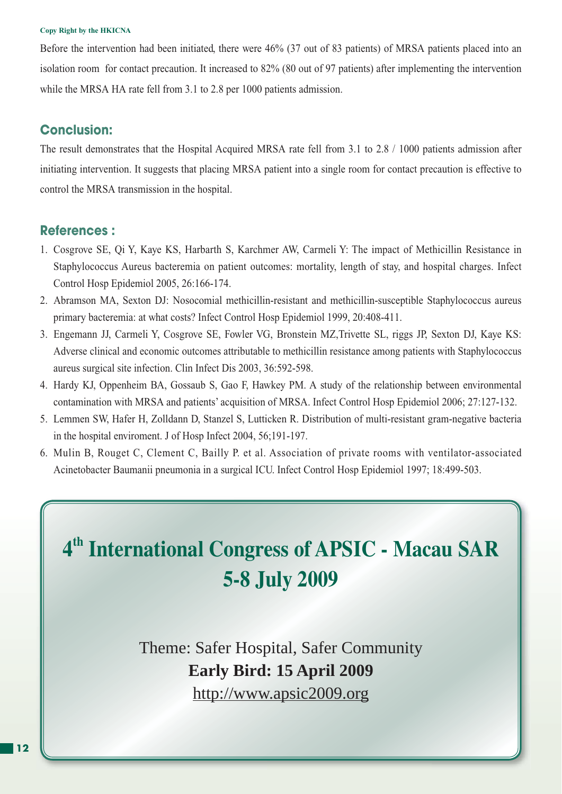Before the intervention had been initiated, there were 46% (37 out of 83 patients) of MRSA patients placed into an isolation room for contact precaution. It increased to 82% (80 out of 97 patients) after implementing the intervention while the MRSA HA rate fell from 3.1 to 2.8 per 1000 patients admission.

## **Conclusion:**

The result demonstrates that the Hospital Acquired MRSA rate fell from 3.1 to 2.8 / 1000 patients admission after initiating intervention. It suggests that placing MRSA patient into a single room for contact precaution is effective to control the MRSA transmission in the hospital.

## **References :**

- 1. Cosgrove SE, Qi Y, Kaye KS, Harbarth S, Karchmer AW, Carmeli Y: The impact of Methicillin Resistance in Staphylococcus Aureus bacteremia on patient outcomes: mortality, length of stay, and hospital charges. Infect Control Hosp Epidemiol 2005, 26:166-174.
- 2. Abramson MA, Sexton DJ: Nosocomial methicillin-resistant and methicillin-susceptible Staphylococcus aureus primary bacteremia: at what costs? Infect Control Hosp Epidemiol 1999, 20:408-411.
- 3. Engemann JJ, Carmeli Y, Cosgrove SE, Fowler VG, Bronstein MZ,Trivette SL, riggs JP, Sexton DJ, Kaye KS: Adverse clinical and economic outcomes attributable to methicillin resistance among patients with Staphylococcus aureus surgical site infection. Clin Infect Dis 2003, 36:592-598.
- 4. Hardy KJ, Oppenheim BA, Gossaub S, Gao F, Hawkey PM. A study of the relationship between environmental contamination with MRSA and patients' acquisition of MRSA. Infect Control Hosp Epidemiol 2006; 27:127-132.
- 5. Lemmen SW, Hafer H, Zolldann D, Stanzel S, Lutticken R. Distribution of multi-resistant gram-negative bacteria in the hospital enviroment. J of Hosp Infect 2004, 56;191-197.
- 6. Mulin B, Rouget C, Clement C, Bailly P. et al. Association of private rooms with ventilator-associated Acinetobacter Baumanii pneumonia in a surgical ICU. Infect Control Hosp Epidemiol 1997; 18:499-503.

# **4th International Congress of APSIC - Macau SAR 5-8 July 2009**

Theme: Safer Hospital, Safer Community **Early Bird: 15 April 2009** http://www.apsic2009.org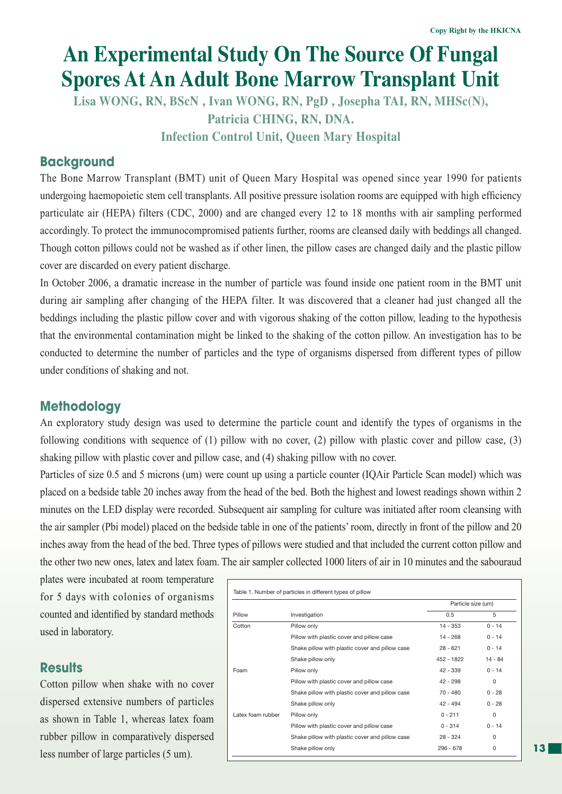# **An Experimental Study On The Source Of Fungal Spores At An Adult Bone Marrow Transplant Unit**

**Lisa WONG, RN, BScN , Ivan WONG, RN, PgD , Josepha TAI, RN, MHSc(N), Patricia CHING, RN, DNA. Infection Control Unit, Queen Mary Hospital**

## **Background**

The Bone Marrow Transplant (BMT) unit of Queen Mary Hospital was opened since year 1990 for patients undergoing haemopoietic stem cell transplants. All positive pressure isolation rooms are equipped with high efficiency particulate air (HEPA) filters (CDC, 2000) and are changed every 12 to 18 months with air sampling performed accordingly. To protect the immunocompromised patients further, rooms are cleansed daily with beddings all changed. Though cotton pillows could not be washed as if other linen, the pillow cases are changed daily and the plastic pillow cover are discarded on every patient discharge.

In October 2006, a dramatic increase in the number of particle was found inside one patient room in the BMT unit during air sampling after changing of the HEPA filter. It was discovered that a cleaner had just changed all the beddings including the plastic pillow cover and with vigorous shaking of the cotton pillow, leading to the hypothesis that the environmental contamination might be linked to the shaking of the cotton pillow. An investigation has to be conducted to determine the number of particles and the type of organisms dispersed from different types of pillow under conditions of shaking and not.

## **Methodology**

An exploratory study design was used to determine the particle count and identify the types of organisms in the following conditions with sequence of (1) pillow with no cover, (2) pillow with plastic cover and pillow case, (3) shaking pillow with plastic cover and pillow case, and (4) shaking pillow with no cover.

Particles of size 0.5 and 5 microns (um) were count up using a particle counter (IQAir Particle Scan model) which was placed on a bedside table 20 inches away from the head of the bed. Both the highest and lowest readings shown within 2 minutes on the LED display were recorded. Subsequent air sampling for culture was initiated after room cleansing with the air sampler (Pbi model) placed on the bedside table in one of the patients' room, directly in front of the pillow and 20 inches away from the head of the bed. Three types of pillows were studied and that included the current cotton pillow and the other two new ones, latex and latex foam. The air sampler collected 1000 liters of air in 10 minutes and the sabouraud

plates were incubated at room temperature for 5 days with colonies of organisms counted and identified by standard methods used in laboratory.

## **Results**

Cotton pillow when shake with no cover dispersed extensive numbers of particles as shown in Table 1, whereas latex foam rubber pillow in comparatively dispersed less number of large particles (5 um).

|                   |                                                 | Particle size (um) |           |
|-------------------|-------------------------------------------------|--------------------|-----------|
| Pillow            | Investigation                                   | 0.5                | 5         |
| Cotton            | Pillow only                                     | $14 - 353$         | $0 - 14$  |
|                   | Pillow with plastic cover and pillow case       | 14 - 268           | $0 - 14$  |
|                   | Shake pillow with plastic cover and pillow case | $28 - 621$         | $0 - 14$  |
|                   | Shake pillow only                               | 452 - 1822         | $14 - 84$ |
| Foam              | Pillow only                                     | $42 - 339$         | $0 - 14$  |
|                   | Pillow with plastic cover and pillow case       | $42 - 298$         | $\Omega$  |
|                   | Shake pillow with plastic cover and pillow case | $70 - 480$         | $0 - 28$  |
|                   | Shake pillow only                               | $42 - 494$         | $0 - 28$  |
| Latex foam rubber | Pillow only                                     | $0 - 211$          | $\Omega$  |
|                   | Pillow with plastic cover and pillow case       | $0 - 314$          | $0 - 14$  |
|                   | Shake pillow with plastic cover and pillow case | $28 - 324$         | $\Omega$  |
|                   | Shake pillow only                               | $296 - 678$        | 0         |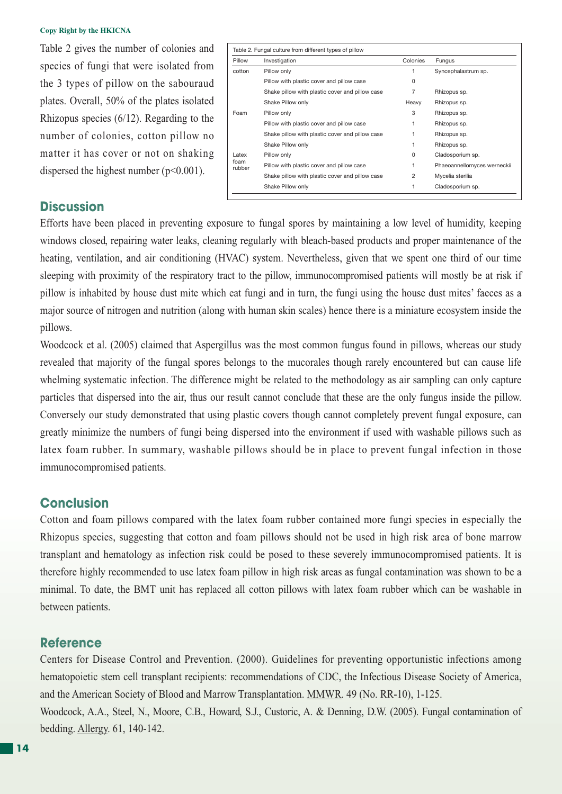Table 2 gives the number of colonies and species of fungi that were isolated from the 3 types of pillow on the sabouraud plates. Overall, 50% of the plates isolated Rhizopus species (6/12). Regarding to the number of colonies, cotton pillow no matter it has cover or not on shaking dispersed the highest number  $(p<0.001)$ .

| Pillow         | Investigation                                   | Colonies | Fungus                      |
|----------------|-------------------------------------------------|----------|-----------------------------|
| cotton         | Pillow only                                     | 1        | Syncephalastrum sp.         |
|                | Pillow with plastic cover and pillow case       | 0        |                             |
|                | Shake pillow with plastic cover and pillow case | 7        | Rhizopus sp.                |
|                | Shake Pillow only                               | Heavy    | Rhizopus sp.                |
| Foam           | Pillow only                                     | 3        | Rhizopus sp.                |
|                | Pillow with plastic cover and pillow case       | 1        | Rhizopus sp.                |
|                | Shake pillow with plastic cover and pillow case | 1        | Rhizopus sp.                |
|                | Shake Pillow only                               | 1        | Rhizopus sp.                |
| Latex          | Pillow only                                     | $\Omega$ | Cladosporium sp.            |
| foam<br>rubber | Pillow with plastic cover and pillow case       | 1        | Phaeoannellomyces werneckii |
|                | Shake pillow with plastic cover and pillow case | 2        | Mycelia sterilia            |
|                | Shake Pillow only                               | 1        | Cladosporium sp.            |

## **Discussion**

Efforts have been placed in preventing exposure to fungal spores by maintaining a low level of humidity, keeping windows closed, repairing water leaks, cleaning regularly with bleach-based products and proper maintenance of the heating, ventilation, and air conditioning (HVAC) system. Nevertheless, given that we spent one third of our time sleeping with proximity of the respiratory tract to the pillow, immunocompromised patients will mostly be at risk if pillow is inhabited by house dust mite which eat fungi and in turn, the fungi using the house dust mites' faeces as a major source of nitrogen and nutrition (along with human skin scales) hence there is a miniature ecosystem inside the pillows.

Woodcock et al. (2005) claimed that Aspergillus was the most common fungus found in pillows, whereas our study revealed that majority of the fungal spores belongs to the mucorales though rarely encountered but can cause life whelming systematic infection. The difference might be related to the methodology as air sampling can only capture particles that dispersed into the air, thus our result cannot conclude that these are the only fungus inside the pillow. Conversely our study demonstrated that using plastic covers though cannot completely prevent fungal exposure, can greatly minimize the numbers of fungi being dispersed into the environment if used with washable pillows such as latex foam rubber. In summary, washable pillows should be in place to prevent fungal infection in those immunocompromised patients.

### **Conclusion**

Cotton and foam pillows compared with the latex foam rubber contained more fungi species in especially the Rhizopus species, suggesting that cotton and foam pillows should not be used in high risk area of bone marrow transplant and hematology as infection risk could be posed to these severely immunocompromised patients. It is therefore highly recommended to use latex foam pillow in high risk areas as fungal contamination was shown to be a minimal. To date, the BMT unit has replaced all cotton pillows with latex foam rubber which can be washable in between patients.

### **Reference**

Centers for Disease Control and Prevention. (2000). Guidelines for preventing opportunistic infections among hematopoietic stem cell transplant recipients: recommendations of CDC, the Infectious Disease Society of America, and the American Society of Blood and Marrow Transplantation. MMWR. 49 (No. RR-10), 1-125.

Woodcock, A.A., Steel, N., Moore, C.B., Howard, S.J., Custoric, A. & Denning, D.W. (2005). Fungal contamination of bedding. Allergy. 61, 140-142.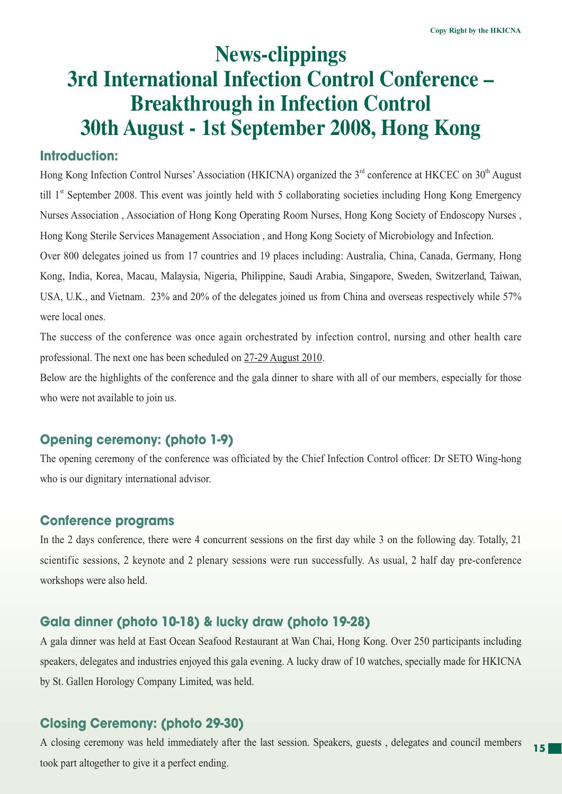# **News-clippings 3rd International Infection Control Conference – Breakthrough in Infection Control 30th August - 1st September 2008, Hong Kong**

## **Introduction:**

Hong Kong Infection Control Nurses' Association (HKICNA) organized the 3<sup>rd</sup> conference at HKCEC on 30<sup>th</sup> August till 1<sup>st</sup> September 2008. This event was jointly held with 5 collaborating societies including Hong Kong Emergency Nurses Association , Association of Hong Kong Operating Room Nurses, Hong Kong Society of Endoscopy Nurses , Hong Kong Sterile Services Management Association , and Hong Kong Society of Microbiology and Infection. Over 800 delegates joined us from 17 countries and 19 places including: Australia, China, Canada, Germany, Hong Kong, India, Korea, Macau, Malaysia, Nigeria, Philippine, Saudi Arabia, Singapore, Sweden, Switzerland, Taiwan, USA, U.K., and Vietnam. 23% and 20% of the delegates joined us from China and overseas respectively while 57%

were local ones.

The success of the conference was once again orchestrated by infection control, nursing and other health care professional. The next one has been scheduled on 27-29 August 2010.

Below are the highlights of the conference and the gala dinner to share with all of our members, especially for those who were not available to join us.

## **Opening ceremony: (photo 1-9)**

The opening ceremony of the conference was officiated by the Chief Infection Control officer: Dr SETO Wing-hong who is our dignitary international advisor.

## **Conference programs**

In the 2 days conference, there were 4 concurrent sessions on the first day while 3 on the following day. Totally, 21 scientific sessions, 2 keynote and 2 plenary sessions were run successfully. As usual, 2 half day pre-conference workshops were also held.

## **Gala dinner (photo 10-18) & lucky draw (photo 19-28)**

A gala dinner was held at East Ocean Seafood Restaurant at Wan Chai, Hong Kong. Over 250 participants including speakers, delegates and industries enjoyed this gala evening. A lucky draw of 10 watches, specially made for HKICNA by St. Gallen Horology Company Limited, was held.

## **Closing Ceremony: (photo 29-30)**

**15** A closing ceremony was held immediately after the last session. Speakers, guests , delegates and council members took part altogether to give it a perfect ending.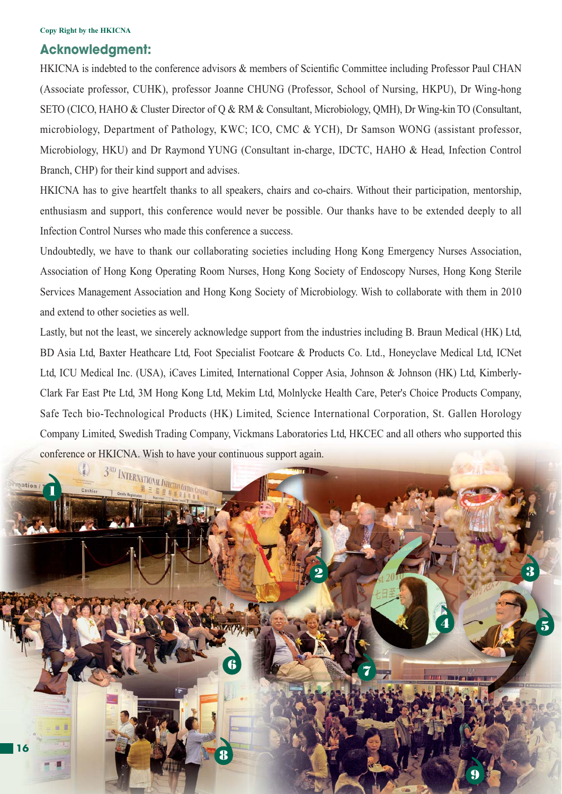## **Acknowledgment:**

HKICNA is indebted to the conference advisors & members of Scientific Committee including Professor Paul CHAN (Associate professor, CUHK), professor Joanne CHUNG (Professor, School of Nursing, HKPU), Dr Wing-hong SETO (CICO, HAHO & Cluster Director of Q & RM & Consultant, Microbiology, QMH), Dr Wing-kin TO (Consultant, microbiology, Department of Pathology, KWC; ICO, CMC & YCH), Dr Samson WONG (assistant professor, Microbiology, HKU) and Dr Raymond YUNG (Consultant in-charge, IDCTC, HAHO & Head, Infection Control Branch, CHP) for their kind support and advises.

HKICNA has to give heartfelt thanks to all speakers, chairs and co-chairs. Without their participation, mentorship, enthusiasm and support, this conference would never be possible. Our thanks have to be extended deeply to all Infection Control Nurses who made this conference a success.

Undoubtedly, we have to thank our collaborating societies including Hong Kong Emergency Nurses Association, Association of Hong Kong Operating Room Nurses, Hong Kong Society of Endoscopy Nurses, Hong Kong Sterile Services Management Association and Hong Kong Society of Microbiology. Wish to collaborate with them in 2010 and extend to other societies as well.

Lastly, but not the least, we sincerely acknowledge support from the industries including B. Braun Medical (HK) Ltd, BD Asia Ltd, Baxter Heathcare Ltd, Foot Specialist Footcare & Products Co. Ltd., Honeyclave Medical Ltd, ICNet Ltd, ICU Medical Inc. (USA), iCaves Limited, International Copper Asia, Johnson & Johnson (HK) Ltd, Kimberly-Clark Far East Pte Ltd, 3M Hong Kong Ltd, Mekim Ltd, Molnlycke Health Care, Peter's Choice Products Company, Safe Tech bio-Technological Products (HK) Limited, Science International Corporation, St. Gallen Horology Company Limited, Swedish Trading Company, Vickmans Laboratories Ltd, HKCEC and all others who supported this conference or HKICNA. Wish to have your continuous support again.

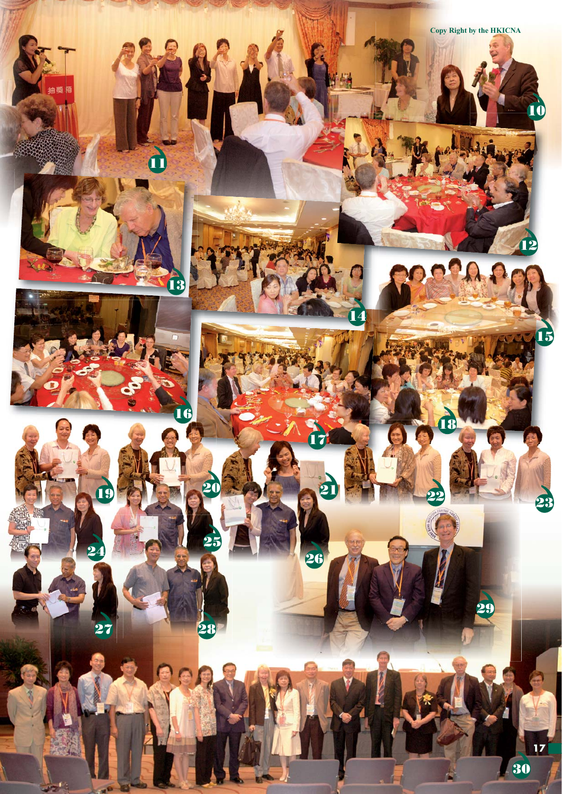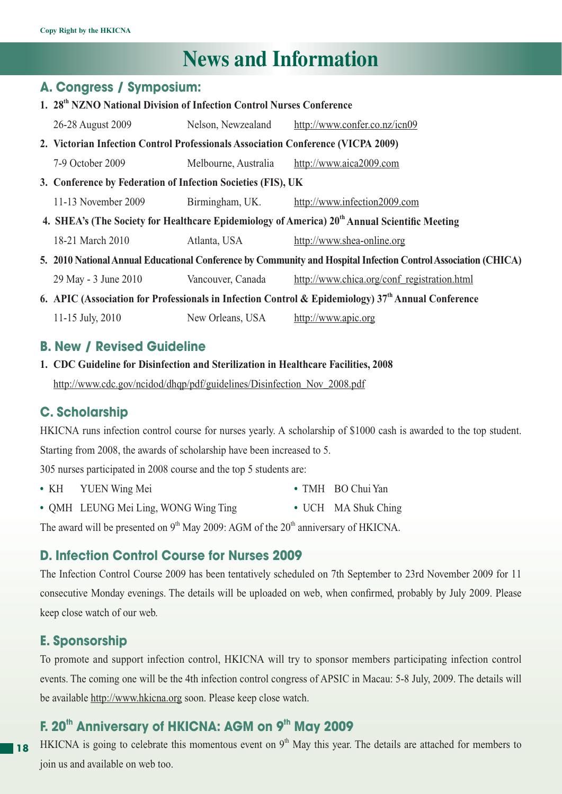# **News and Information**

## **A. Congress / Symposium:**

| 1. 28 <sup>th</sup> NZNO National Division of Infection Control Nurses Conference                              |                      |                                             |  |
|----------------------------------------------------------------------------------------------------------------|----------------------|---------------------------------------------|--|
| 26-28 August 2009                                                                                              | Nelson, Newzealand   | http://www.confer.co.nz/icn09               |  |
| 2. Victorian Infection Control Professionals Association Conference (VICPA 2009)                               |                      |                                             |  |
| 7-9 October 2009                                                                                               | Melbourne, Australia | http://www.aica2009.com                     |  |
| 3. Conference by Federation of Infection Societies (FIS), UK                                                   |                      |                                             |  |
| 11-13 November 2009                                                                                            | Birmingham, UK.      | http://www.infection2009.com                |  |
| 4. SHEA's (The Society for Healthcare Epidemiology of America) 20 <sup>th</sup> Annual Scientific Meeting      |                      |                                             |  |
| 18-21 March 2010                                                                                               | Atlanta, USA         | http://www.shea-online.org                  |  |
| 5. 2010 National Annual Educational Conference by Community and Hospital Infection Control Association (CHICA) |                      |                                             |  |
| 29 May - 3 June 2010                                                                                           | Vancouver, Canada    | http://www.chica.org/conf_registration.html |  |
| 6. APIC (Association for Professionals in Infection Control & Epidemiology) $37th$ Annual Conference           |                      |                                             |  |
| 11-15 July, 2010                                                                                               | New Orleans, USA     | http://www.apic.org                         |  |

## **B. New / Revised Guideline**

**1. CDC Guideline for Disinfection and Sterilization in Healthcare Facilities, 2008** http://www.cdc.gov/ncidod/dhqp/pdf/guidelines/Disinfection\_Nov\_2008.pdf

## **C. Scholarship**

HKICNA runs infection control course for nurses yearly. A scholarship of \$1000 cash is awarded to the top student. Starting from 2008, the awards of scholarship have been increased to 5.

305 nurses participated in 2008 course and the top 5 students are:

- **•** KH YUEN Wing Mei **•** TMH BO Chui Yan
- **•** QMH LEUNG Mei Ling, WONG Wing Ting **•** UCH MA Shuk Ching

The award will be presented on  $9<sup>th</sup>$  May 2009: AGM of the  $20<sup>th</sup>$  anniversary of HKICNA.

## **D. Infection Control Course for Nurses 2009**

The Infection Control Course 2009 has been tentatively scheduled on 7th September to 23rd November 2009 for 11 consecutive Monday evenings. The details will be uploaded on web, when confirmed, probably by July 2009. Please keep close watch of our web.

## **E. Sponsorship**

To promote and support infection control, HKICNA will try to sponsor members participating infection control events. The coming one will be the 4th infection control congress of APSIC in Macau: 5-8 July, 2009. The details will be available http://www.hkicna.org soon. Please keep close watch.

## **F. 20<sup>th</sup> Anniversary of HKICNA: AGM on 9<sup>th</sup> May 2009**

**18** HKICNA is going to celebrate this momentous event on  $9<sup>th</sup>$  May this year. The details are attached for members to join us and available on web too.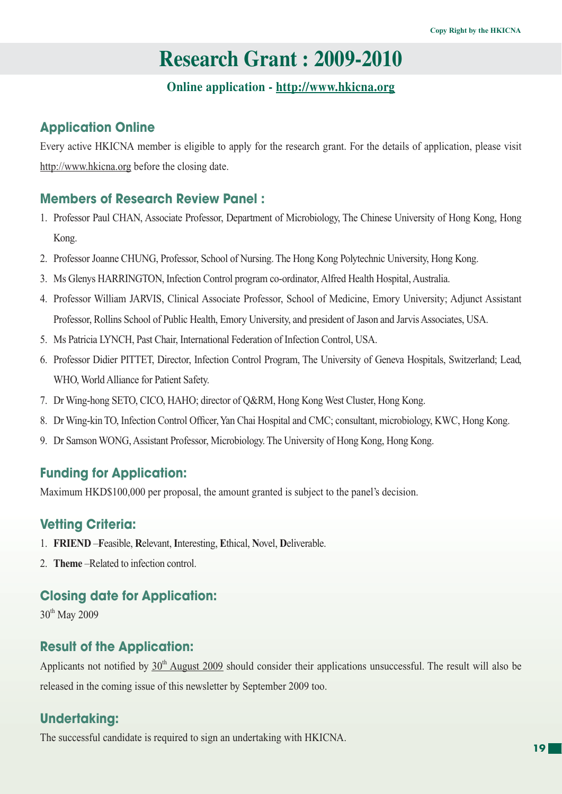## **Research Grant : 2009-2010**

## **Online application - http://www.hkicna.org**

## **Application Online**

Every active HKICNA member is eligible to apply for the research grant. For the details of application, please visit http://www.hkicna.org before the closing date.

## **Members of Research Review Panel :**

- 1. Professor Paul CHAN, Associate Professor, Department of Microbiology, The Chinese University of Hong Kong, Hong Kong.
- 2. Professor Joanne CHUNG, Professor, School of Nursing. The Hong Kong Polytechnic University, Hong Kong.
- 3. Ms Glenys HARRINGTON, Infection Control program co-ordinator, Alfred Health Hospital, Australia.
- 4. Professor William JARVIS, Clinical Associate Professor, School of Medicine, Emory University; Adjunct Assistant Professor, Rollins School of Public Health, Emory University, and president of Jason and Jarvis Associates, USA.
- 5. Ms Patricia LYNCH, Past Chair, International Federation of Infection Control, USA.
- 6. Professor Didier PITTET, Director, Infection Control Program, The University of Geneva Hospitals, Switzerland; Lead, WHO, World Alliance for Patient Safety.
- 7. Dr Wing-hong SETO, CICO, HAHO; director of Q&RM, Hong Kong West Cluster, Hong Kong.
- 8. Dr Wing-kin TO, Infection Control Officer, Yan Chai Hospital and CMC; consultant, microbiology, KWC, Hong Kong.
- 9. Dr Samson WONG, Assistant Professor, Microbiology. The University of Hong Kong, Hong Kong.

## **Funding for Application:**

Maximum HKD\$100,000 per proposal, the amount granted is subject to the panel's decision.

## **Vetting Criteria:**

- 1. **FRIEND** –**F**easible, **R**elevant, **I**nteresting, **E**thical, **N**ovel, **D**eliverable.
- 2. **Theme** –Related to infection control.

## **Closing date for Application:**

30<sup>th</sup> May 2009

## **Result of the Application:**

Applicants not notified by  $30<sup>th</sup>$  August 2009 should consider their applications unsuccessful. The result will also be released in the coming issue of this newsletter by September 2009 too.

## **Undertaking:**

The successful candidate is required to sign an undertaking with HKICNA.